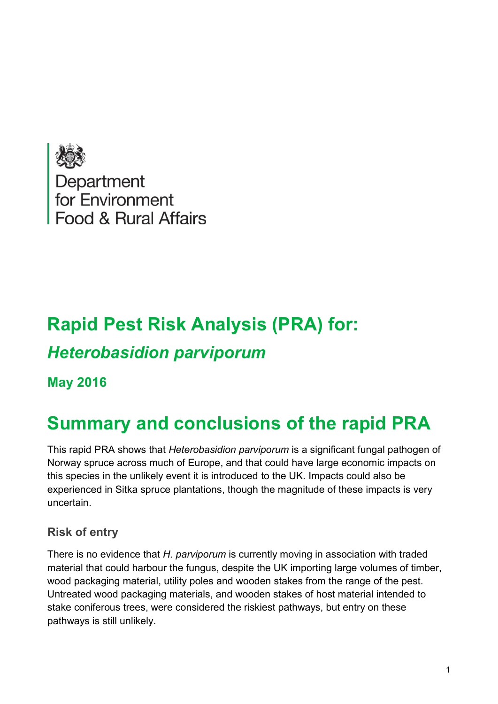

# **Rapid Pest Risk Analysis (PRA) for:** *Heterobasidion parviporum*

**May 2016**

# **Summary and conclusions of the rapid PRA**

This rapid PRA shows that *Heterobasidion parviporum* is a significant fungal pathogen of Norway spruce across much of Europe, and that could have large economic impacts on this species in the unlikely event it is introduced to the UK. Impacts could also be experienced in Sitka spruce plantations, though the magnitude of these impacts is very uncertain.

## **Risk of entry**

There is no evidence that *H. parviporum* is currently moving in association with traded material that could harbour the fungus, despite the UK importing large volumes of timber, wood packaging material, utility poles and wooden stakes from the range of the pest. Untreated wood packaging materials, and wooden stakes of host material intended to stake coniferous trees, were considered the riskiest pathways, but entry on these pathways is still unlikely.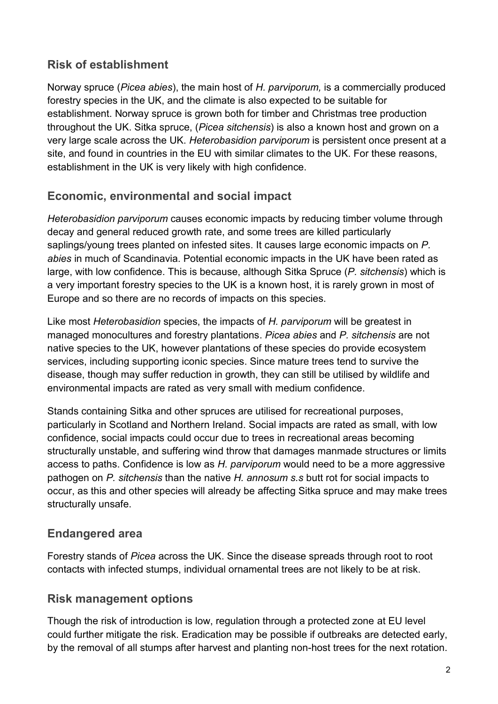## **Risk of establishment**

Norway spruce (*Picea abies*), the main host of *H. parviporum,* is a commercially produced forestry species in the UK, and the climate is also expected to be suitable for establishment. Norway spruce is grown both for timber and Christmas tree production throughout the UK. Sitka spruce, (*Picea sitchensis*) is also a known host and grown on a very large scale across the UK. *Heterobasidion parviporum* is persistent once present at a site, and found in countries in the EU with similar climates to the UK. For these reasons, establishment in the UK is very likely with high confidence.

### **Economic, environmental and social impact**

*Heterobasidion parviporum* causes economic impacts by reducing timber volume through decay and general reduced growth rate, and some trees are killed particularly saplings/young trees planted on infested sites. It causes large economic impacts on *P. abies* in much of Scandinavia. Potential economic impacts in the UK have been rated as large, with low confidence. This is because, although Sitka Spruce (*P. sitchensis*) which is a very important forestry species to the UK is a known host, it is rarely grown in most of Europe and so there are no records of impacts on this species.

Like most *Heterobasidion* species, the impacts of *H. parviporum* will be greatest in managed monocultures and forestry plantations. *Picea abies* and *P. sitchensis* are not native species to the UK, however plantations of these species do provide ecosystem services, including supporting iconic species. Since mature trees tend to survive the disease, though may suffer reduction in growth, they can still be utilised by wildlife and environmental impacts are rated as very small with medium confidence.

Stands containing Sitka and other spruces are utilised for recreational purposes, particularly in Scotland and Northern Ireland. Social impacts are rated as small, with low confidence, social impacts could occur due to trees in recreational areas becoming structurally unstable, and suffering wind throw that damages manmade structures or limits access to paths. Confidence is low as *H. parviporum* would need to be a more aggressive pathogen on *P. sitchensis* than the native *H. annosum s.s* butt rot for social impacts to occur, as this and other species will already be affecting Sitka spruce and may make trees structurally unsafe.

## **Endangered area**

Forestry stands of *Picea* across the UK. Since the disease spreads through root to root contacts with infected stumps, individual ornamental trees are not likely to be at risk.

## **Risk management options**

Though the risk of introduction is low, regulation through a protected zone at EU level could further mitigate the risk. Eradication may be possible if outbreaks are detected early, by the removal of all stumps after harvest and planting non-host trees for the next rotation.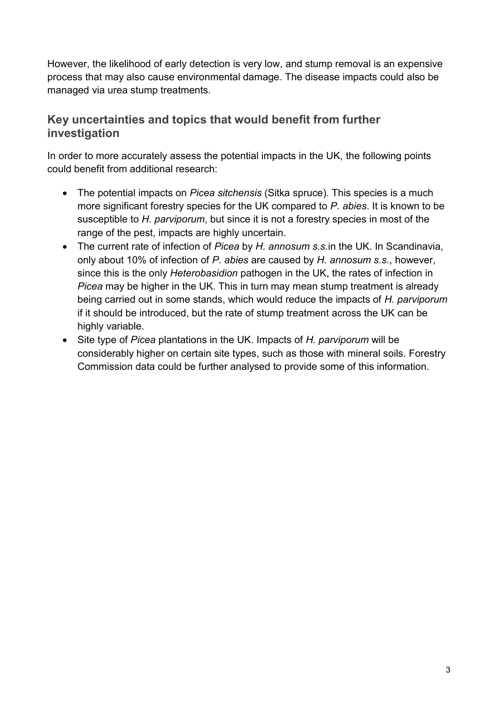However, the likelihood of early detection is very low, and stump removal is an expensive process that may also cause environmental damage. The disease impacts could also be managed via urea stump treatments.

## **Key uncertainties and topics that would benefit from further investigation**

In order to more accurately assess the potential impacts in the UK, the following points could benefit from additional research:

- The potential impacts on *Picea sitchensis* (Sitka spruce). This species is a much more significant forestry species for the UK compared to *P. abies*. It is known to be susceptible to *H. parviporum*, but since it is not a forestry species in most of the range of the pest, impacts are highly uncertain.
- The current rate of infection of *Picea* by *H. annosum s.s.*in the UK. In Scandinavia, only about 10% of infection of *P. abies* are caused by *H. annosum s.s.*, however, since this is the only *Heterobasidion* pathogen in the UK, the rates of infection in *Picea* may be higher in the UK. This in turn may mean stump treatment is already being carried out in some stands, which would reduce the impacts of *H. parviporum* if it should be introduced, but the rate of stump treatment across the UK can be highly variable.
- Site type of *Picea* plantations in the UK. Impacts of *H. parviporum* will be considerably higher on certain site types, such as those with mineral soils. Forestry Commission data could be further analysed to provide some of this information.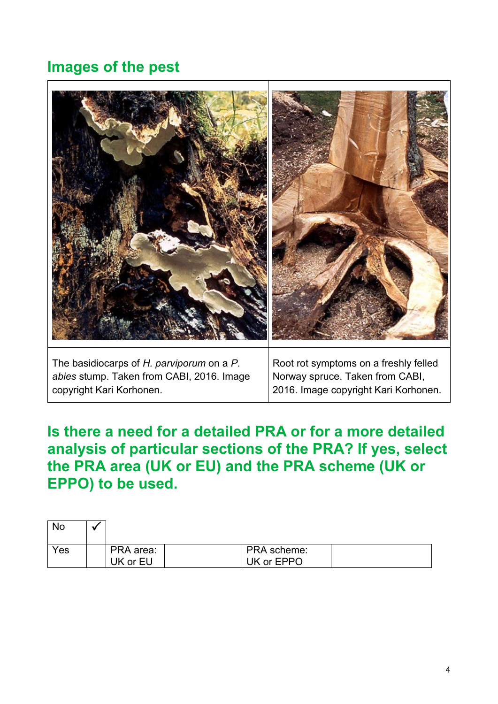# **Images of the pest**



*abies* stump. Taken from CABI, 2016. Image copyright Kari Korhonen.

Norway spruce. Taken from CABI, 2016. Image copyright Kari Korhonen.

**Is there a need for a detailed PRA or for a more detailed analysis of particular sections of the PRA? If yes, select the PRA area (UK or EU) and the PRA scheme (UK or EPPO) to be used.**

| <b>No</b> |                       |                           |  |
|-----------|-----------------------|---------------------------|--|
| Yes       | PRA area:<br>UK or EU | PRA scheme:<br>UK or EPPO |  |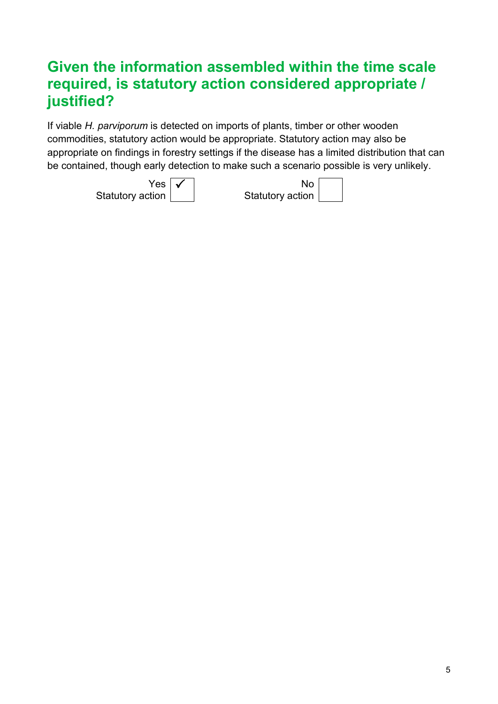# **Given the information assembled within the time scale required, is statutory action considered appropriate / justified?**

If viable *H. parviporum* is detected on imports of plants, timber or other wooden commodities, statutory action would be appropriate. Statutory action may also be appropriate on findings in forestry settings if the disease has a limited distribution that can be contained, though early detection to make such a scenario possible is very unlikely.

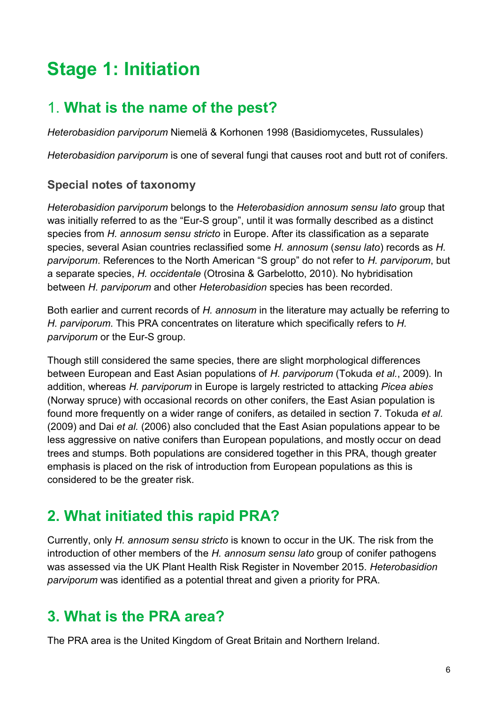# **Stage 1: Initiation**

## 1. **What is the name of the pest?**

*Heterobasidion parviporum* Niemelä & Korhonen 1998 (Basidiomycetes, Russulales)

*Heterobasidion parviporum* is one of several fungi that causes root and butt rot of conifers.

#### **Special notes of taxonomy**

*Heterobasidion parviporum* belongs to the *Heterobasidion annosum sensu lato* group that was initially referred to as the "Eur-S group", until it was formally described as a distinct species from *H. annosum sensu stricto* in Europe. After its classification as a separate species, several Asian countries reclassified some *H. annosum* (*sensu lato*) records as *H. parviporum*. References to the North American "S group" do not refer to *H. parviporum*, but a separate species, *H. occidentale* [\(Otrosina & Garbelotto, 2010\)](#page-21-0). No hybridisation between *H. parviporum* and other *Heterobasidion* species has been recorded.

Both earlier and current records of *H. annosum* in the literature may actually be referring to *H. parviporum*. This PRA concentrates on literature which specifically refers to *H. parviporum* or the Eur-S group.

Though still considered the same species, there are slight morphological differences between European and East Asian populations of *H. parviporum* [\(Tokuda](#page-21-1) *et al.*, 2009). In addition, whereas *H. parviporum* in Europe is largely restricted to attacking *Picea abies* (Norway spruce) with occasional records on other conifers, the East Asian population is found more frequently on a wider range of conifers, as detailed in section 7. Tokuda *et al.*  (2009) and Dai *et al.* (2006) also concluded that the East Asian populations appear to be less aggressive on native conifers than European populations, and mostly occur on dead trees and stumps. Both populations are considered together in this PRA, though greater emphasis is placed on the risk of introduction from European populations as this is considered to be the greater risk.

# **2. What initiated this rapid PRA?**

Currently, only *H. annosum sensu stricto* is known to occur in the UK. The risk from the introduction of other members of the *H. annosum sensu lato* group of conifer pathogens was assessed via the UK Plant Health Risk Register in November 2015. *Heterobasidion parviporum* was identified as a potential threat and given a priority for PRA.

## **3. What is the PRA area?**

The PRA area is the United Kingdom of Great Britain and Northern Ireland.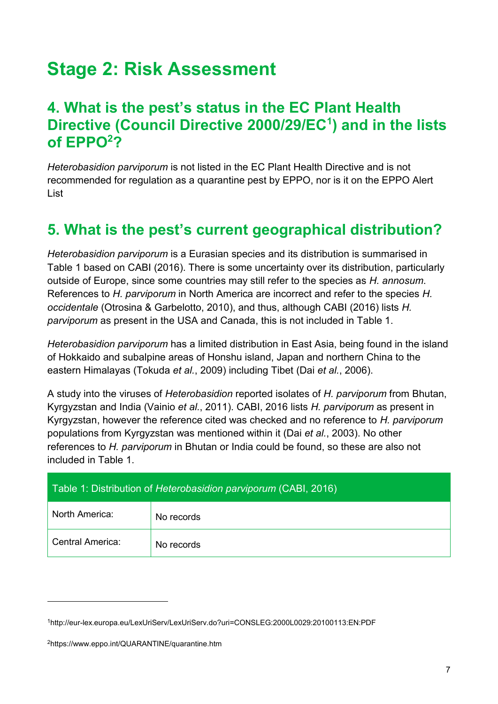# **Stage 2: Risk Assessment**

## **4. What is the pest's status in the EC Plant Health Directive (Council Directive 2000/29/EC<sup>1</sup> ) and in the lists of EPPO<sup>2</sup>?**

*Heterobasidion parviporum* is not listed in the EC Plant Health Directive and is not recommended for regulation as a quarantine pest by EPPO, nor is it on the EPPO Alert List

# **5. What is the pest's current geographical distribution?**

*Heterobasidion parviporum* is a Eurasian species and its distribution is summarised in Table 1 based on CABI (2016). There is some uncertainty over its distribution, particularly outside of Europe, since some countries may still refer to the species as *H. annosum*. References to *H. parviporum* in North America are incorrect and refer to the species *H. occidentale* [\(Otrosina & Garbelotto, 2010\)](#page-21-0), and thus, although CABI (2016) lists *H. parviporum* as present in the USA and Canada, this is not included in Table 1.

*Heterobasidion parviporum* has a limited distribution in East Asia, being found in the island of Hokkaido and subalpine areas of Honshu island, Japan and northern China to the eastern Himalayas [\(Tokuda](#page-21-1) *et al.*, 2009) including Tibet (Dai *et al.*[, 2006\)](#page-20-0).

A study into the viruses of *Heterobasidion* reported isolates of *H. parviporum* from Bhutan, Kyrgyzstan and India [\(Vainio](#page-22-0) *et al.*, 2011). CABI, 2016 lists *H. parviporum* as present in Kyrgyzstan, however the reference cited was checked and no reference to *H. parviporum* populations from Kyrgyzstan was mentioned within it (Dai *et al.*[, 2003\)](#page-20-1). No other references to *H. parviporum* in Bhutan or India could be found, so these are also not included in Table 1.

| Table 1: Distribution of Heterobasidion parviporum (CABI, 2016) |            |  |  |  |
|-----------------------------------------------------------------|------------|--|--|--|
| North America:                                                  | No records |  |  |  |
| Central America:                                                | No records |  |  |  |

1

<sup>1</sup>http://eur-lex.europa.eu/LexUriServ/LexUriServ.do?uri=CONSLEG:2000L0029:20100113:EN:PDF

<sup>2</sup>https://www.eppo.int/QUARANTINE/quarantine.htm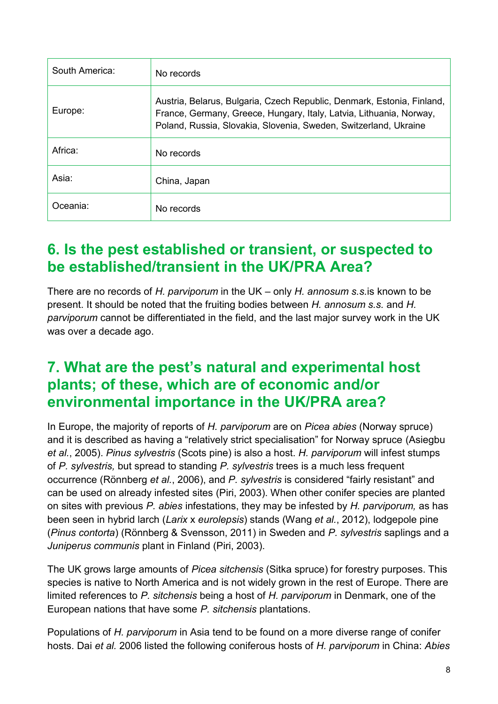| South America: | No records                                                                                                                                                                                                        |
|----------------|-------------------------------------------------------------------------------------------------------------------------------------------------------------------------------------------------------------------|
| Europe:        | Austria, Belarus, Bulgaria, Czech Republic, Denmark, Estonia, Finland,<br>France, Germany, Greece, Hungary, Italy, Latvia, Lithuania, Norway,<br>Poland, Russia, Slovakia, Slovenia, Sweden, Switzerland, Ukraine |
| Africa:        | No records                                                                                                                                                                                                        |
| Asia:          | China, Japan                                                                                                                                                                                                      |
| Oceania:       | No records                                                                                                                                                                                                        |

# **6. Is the pest established or transient, or suspected to be established/transient in the UK/PRA Area?**

There are no records of *H. parviporum* in the UK – only *H. annosum s.s.*is known to be present. It should be noted that the fruiting bodies between *H. annosum s.s.* and *H. parviporum* cannot be differentiated in the field, and the last major survey work in the UK was over a decade ago.

## **7. What are the pest's natural and experimental host plants; of these, which are of economic and/or environmental importance in the UK/PRA area?**

In Europe, the majority of reports of *H. parviporum* are on *Picea abies* (Norway spruce) and it is described as having a "relatively strict specialisation" for Norway spruce [\(Asiegbu](#page-19-0) *et al.*[, 2005\)](#page-19-0). *Pinus sylvestris* (Scots pine) is also a host. *H. parviporum* will infest stumps of *P. sylvestris,* but spread to standing *P. sylvestris* trees is a much less frequent occurrence [\(Rönnberg](#page-21-2) *et al.*, 2006), and *P. sylvestris* is considered "fairly resistant" and can be used on already infested sites [\(Piri, 2003\)](#page-21-3). When other conifer species are planted on sites with previous *P. abies* infestations, they may be infested by *H. parviporum,* as has been seen in hybrid larch (*Larix* x *eurolepsis*) stands (Wang *et al.*[, 2012\)](#page-22-1), lodgepole pine (*Pinus contorta*) [\(Rönnberg & Svensson, 2011\)](#page-21-4) in Sweden and *P. sylvestris* saplings and a *Juniperus communis* plant in Finland [\(Piri, 2003\)](#page-21-3).

The UK grows large amounts of *Picea sitchensis* (Sitka spruce) for forestry purposes. This species is native to North America and is not widely grown in the rest of Europe. There are limited references to *P. sitchensis* being a host of *H. parviporum* in Denmark, one of the European nations that have some *P. sitchensis* plantations.

Populations of *H. parviporum* in Asia tend to be found on a more diverse range of conifer hosts. Dai *et al.* 2006 listed the following coniferous hosts of *H. parviporum* in China: *Abies*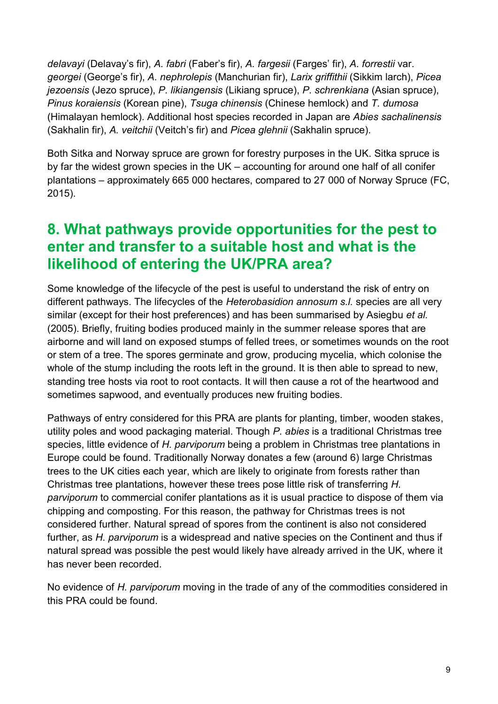*delavayi* (Delavay's fir), *A. fabri* (Faber's fir), *A. fargesii* (Farges' fir), *A. forrestii* var. *georgei* (George's fir), *A. nephrolepis* (Manchurian fir), *Larix griffithii* (Sikkim larch), *Picea jezoensis* (Jezo spruce), *P. likiangensis* (Likiang spruce), *P. schrenkiana* (Asian spruce), *Pinus koraiensis* (Korean pine), *Tsuga chinensis* (Chinese hemlock) and *T. dumosa* (Himalayan hemlock). Additional host species recorded in Japan are *Abies sachalinensis* (Sakhalin fir), *A. veitchii* (Veitch's fir) and *Picea glehnii* (Sakhalin spruce).

Both Sitka and Norway spruce are grown for forestry purposes in the UK. Sitka spruce is by far the widest grown species in the UK – accounting for around one half of all conifer plantations – approximately 665 000 hectares, compared to 27 000 of Norway Spruce [\(FC,](#page-20-3)  [2015\)](#page-20-3).

# **8. What pathways provide opportunities for the pest to enter and transfer to a suitable host and what is the likelihood of entering the UK/PRA area?**

Some knowledge of the lifecycle of the pest is useful to understand the risk of entry on different pathways. The lifecycles of the *Heterobasidion annosum s.l.* species are all very similar (except for their host preferences) and has been summarised by Asiegbu *et al.*  (2005). Briefly, fruiting bodies produced mainly in the summer release spores that are airborne and will land on exposed stumps of felled trees, or sometimes wounds on the root or stem of a tree. The spores germinate and grow, producing mycelia, which colonise the whole of the stump including the roots left in the ground. It is then able to spread to new, standing tree hosts via root to root contacts. It will then cause a rot of the heartwood and sometimes sapwood, and eventually produces new fruiting bodies.

Pathways of entry considered for this PRA are plants for planting, timber, wooden stakes, utility poles and wood packaging material. Though *P. abies* is a traditional Christmas tree species, little evidence of *H. parviporum* being a problem in Christmas tree plantations in Europe could be found. Traditionally Norway donates a few (around 6) large Christmas trees to the UK cities each year, which are likely to originate from forests rather than Christmas tree plantations, however these trees pose little risk of transferring *H. parviporum* to commercial conifer plantations as it is usual practice to dispose of them via chipping and composting. For this reason, the pathway for Christmas trees is not considered further. Natural spread of spores from the continent is also not considered further, as *H. parviporum* is a widespread and native species on the Continent and thus if natural spread was possible the pest would likely have already arrived in the UK, where it has never been recorded.

No evidence of *H. parviporum* moving in the trade of any of the commodities considered in this PRA could be found.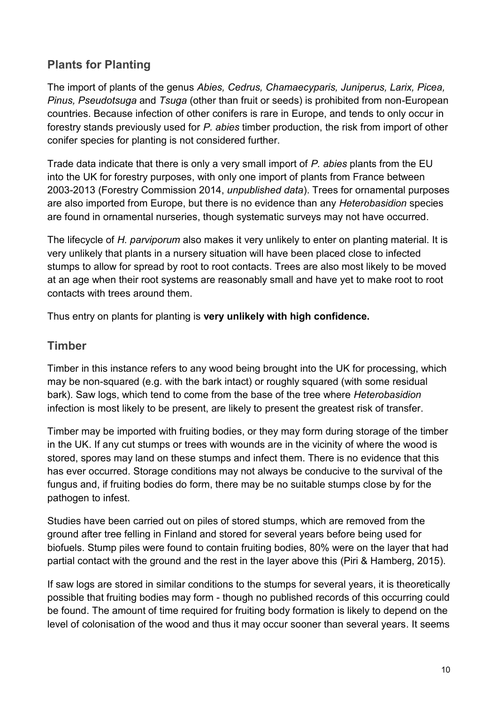## **Plants for Planting**

The import of plants of the genus *Abies, Cedrus, Chamaecyparis, Juniperus, Larix, Picea, Pinus, Pseudotsuga* and *Tsuga* (other than fruit or seeds) is prohibited from non-European countries. Because infection of other conifers is rare in Europe, and tends to only occur in forestry stands previously used for *P. abies* timber production, the risk from import of other conifer species for planting is not considered further.

Trade data indicate that there is only a very small import of *P. abies* plants from the EU into the UK for forestry purposes, with only one import of plants from France between 2003-2013 (Forestry Commission 2014, *unpublished data*). Trees for ornamental purposes are also imported from Europe, but there is no evidence than any *Heterobasidion* species are found in ornamental nurseries, though systematic surveys may not have occurred.

The lifecycle of *H. parviporum* also makes it very unlikely to enter on planting material. It is very unlikely that plants in a nursery situation will have been placed close to infected stumps to allow for spread by root to root contacts. Trees are also most likely to be moved at an age when their root systems are reasonably small and have yet to make root to root contacts with trees around them.

Thus entry on plants for planting is **very unlikely with high confidence.**

#### **Timber**

Timber in this instance refers to any wood being brought into the UK for processing, which may be non-squared (e.g. with the bark intact) or roughly squared (with some residual bark). Saw logs, which tend to come from the base of the tree where *Heterobasidion* infection is most likely to be present, are likely to present the greatest risk of transfer.

Timber may be imported with fruiting bodies, or they may form during storage of the timber in the UK. If any cut stumps or trees with wounds are in the vicinity of where the wood is stored, spores may land on these stumps and infect them. There is no evidence that this has ever occurred. Storage conditions may not always be conducive to the survival of the fungus and, if fruiting bodies do form, there may be no suitable stumps close by for the pathogen to infest.

Studies have been carried out on piles of stored stumps, which are removed from the ground after tree felling in Finland and stored for several years before being used for biofuels. Stump piles were found to contain fruiting bodies, 80% were on the layer that had partial contact with the ground and the rest in the layer above this [\(Piri & Hamberg, 2015\)](#page-21-5).

If saw logs are stored in similar conditions to the stumps for several years, it is theoretically possible that fruiting bodies may form - though no published records of this occurring could be found. The amount of time required for fruiting body formation is likely to depend on the level of colonisation of the wood and thus it may occur sooner than several years. It seems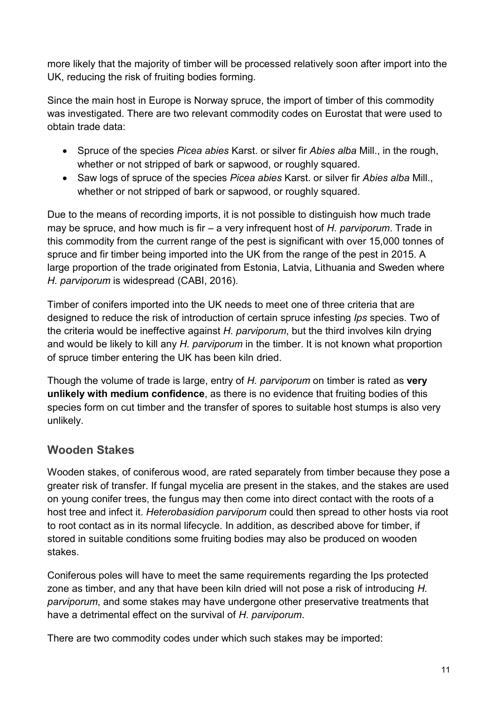more likely that the majority of timber will be processed relatively soon after import into the UK, reducing the risk of fruiting bodies forming.

Since the main host in Europe is Norway spruce, the import of timber of this commodity was investigated. There are two relevant commodity codes on Eurostat that were used to obtain trade data:

- Spruce of the species *Picea abies* Karst. or silver fir *Abies alba* Mill., in the rough, whether or not stripped of bark or sapwood, or roughly squared.
- Saw logs of spruce of the species *Picea abies* Karst. or silver fir *Abies alba* Mill., whether or not stripped of bark or sapwood, or roughly squared.

Due to the means of recording imports, it is not possible to distinguish how much trade may be spruce, and how much is fir – a very infrequent host of *H. parviporum*. Trade in this commodity from the current range of the pest is significant with over 15,000 tonnes of spruce and fir timber being imported into the UK from the range of the pest in 2015. A large proportion of the trade originated from Estonia, Latvia, Lithuania and Sweden where *H. parviporum* is widespread [\(CABI, 2016\)](#page-20-2).

Timber of conifers imported into the UK needs to meet one of three criteria that are designed to reduce the risk of introduction of certain spruce infesting *Ips* species. Two of the criteria would be ineffective against *H. parviporum*, but the third involves kiln drying and would be likely to kill any *H. parviporum* in the timber. It is not known what proportion of spruce timber entering the UK has been kiln dried.

Though the volume of trade is large, entry of *H. parviporum* on timber is rated as **very unlikely with medium confidence**, as there is no evidence that fruiting bodies of this species form on cut timber and the transfer of spores to suitable host stumps is also very unlikely.

## **Wooden Stakes**

Wooden stakes, of coniferous wood, are rated separately from timber because they pose a greater risk of transfer. If fungal mycelia are present in the stakes, and the stakes are used on young conifer trees, the fungus may then come into direct contact with the roots of a host tree and infect it. *Heterobasidion parviporum* could then spread to other hosts via root to root contact as in its normal lifecycle. In addition, as described above for timber, if stored in suitable conditions some fruiting bodies may also be produced on wooden stakes.

Coniferous poles will have to meet the same requirements regarding the Ips protected zone as timber, and any that have been kiln dried will not pose a risk of introducing *H. parviporum*, and some stakes may have undergone other preservative treatments that have a detrimental effect on the survival of *H. parviporum*.

There are two commodity codes under which such stakes may be imported: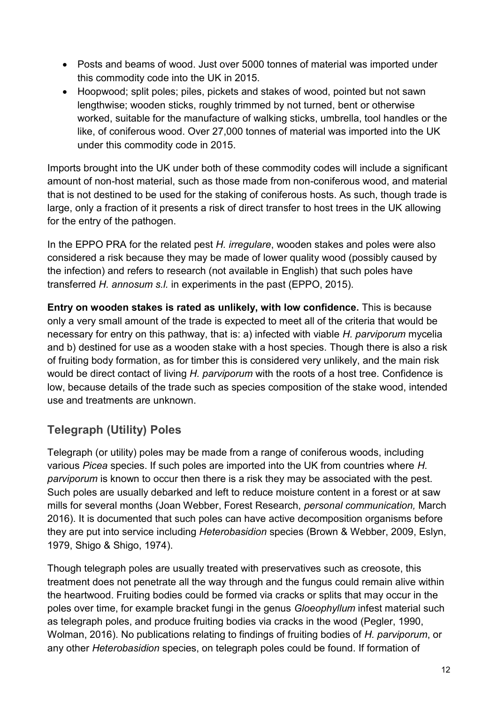- Posts and beams of wood. Just over 5000 tonnes of material was imported under this commodity code into the UK in 2015.
- Hoopwood; split poles; piles, pickets and stakes of wood, pointed but not sawn lengthwise; wooden sticks, roughly trimmed by not turned, bent or otherwise worked, suitable for the manufacture of walking sticks, umbrella, tool handles or the like, of coniferous wood. Over 27,000 tonnes of material was imported into the UK under this commodity code in 2015.

Imports brought into the UK under both of these commodity codes will include a significant amount of non-host material, such as those made from non-coniferous wood, and material that is not destined to be used for the staking of coniferous hosts. As such, though trade is large, only a fraction of it presents a risk of direct transfer to host trees in the UK allowing for the entry of the pathogen.

In the EPPO PRA for the related pest *H. irregulare*, wooden stakes and poles were also considered a risk because they may be made of lower quality wood (possibly caused by the infection) and refers to research (not available in English) that such poles have transferred *H. annosum s.l.* in experiments in the past [\(EPPO, 2015\)](#page-20-4).

**Entry on wooden stakes is rated as unlikely, with low confidence.** This is because only a very small amount of the trade is expected to meet all of the criteria that would be necessary for entry on this pathway, that is: a) infected with viable *H. parviporum* mycelia and b) destined for use as a wooden stake with a host species. Though there is also a risk of fruiting body formation, as for timber this is considered very unlikely, and the main risk would be direct contact of living *H. parviporum* with the roots of a host tree. Confidence is low, because details of the trade such as species composition of the stake wood, intended use and treatments are unknown.

## **Telegraph (Utility) Poles**

Telegraph (or utility) poles may be made from a range of coniferous woods, including various *Picea* species. If such poles are imported into the UK from countries where *H. parviporum* is known to occur then there is a risk they may be associated with the pest. Such poles are usually debarked and left to reduce moisture content in a forest or at saw mills for several months (Joan Webber, Forest Research, *personal communication,* March 2016). It is documented that such poles can have active decomposition organisms before they are put into service including *Heterobasidion* species [\(Brown & Webber, 2009,](#page-20-5) [Eslyn,](#page-20-6)  [1979,](#page-20-6) [Shigo & Shigo, 1974\)](#page-21-6).

Though telegraph poles are usually treated with preservatives such as creosote, this treatment does not penetrate all the way through and the fungus could remain alive within the heartwood. Fruiting bodies could be formed via cracks or splits that may occur in the poles over time, for example bracket fungi in the genus *Gloeophyllum* infest material such as telegraph poles, and produce fruiting bodies via cracks in the wood [\(Pegler, 1990,](#page-21-7) [Wolman, 2016\)](#page-22-2). No publications relating to findings of fruiting bodies of *H. parviporum*, or any other *Heterobasidion* species, on telegraph poles could be found. If formation of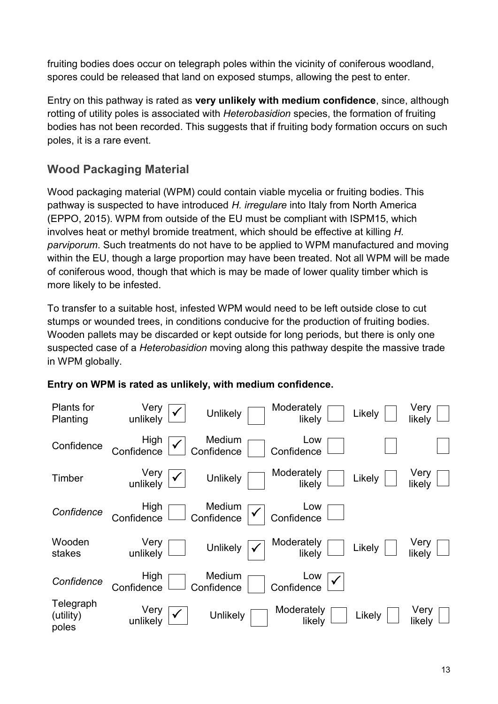fruiting bodies does occur on telegraph poles within the vicinity of coniferous woodland, spores could be released that land on exposed stumps, allowing the pest to enter.

Entry on this pathway is rated as **very unlikely with medium confidence**, since, although rotting of utility poles is associated with *Heterobasidion* species, the formation of fruiting bodies has not been recorded. This suggests that if fruiting body formation occurs on such poles, it is a rare event.

## **Wood Packaging Material**

Wood packaging material (WPM) could contain viable mycelia or fruiting bodies. This pathway is suspected to have introduced *H. irregulare* into Italy from North America [\(EPPO, 2015\)](#page-20-4). WPM from outside of the EU must be compliant with ISPM15, which involves heat or methyl bromide treatment, which should be effective at killing *H. parviporum*. Such treatments do not have to be applied to WPM manufactured and moving within the EU, though a large proportion may have been treated. Not all WPM will be made of coniferous wood, though that which is may be made of lower quality timber which is more likely to be infested.

To transfer to a suitable host, infested WPM would need to be left outside close to cut stumps or wounded trees, in conditions conducive for the production of fruiting bodies. Wooden pallets may be discarded or kept outside for long periods, but there is only one suspected case of a *Heterobasidion* moving along this pathway despite the massive trade in WPM globally.



#### **Entry on WPM is rated as unlikely, with medium confidence.**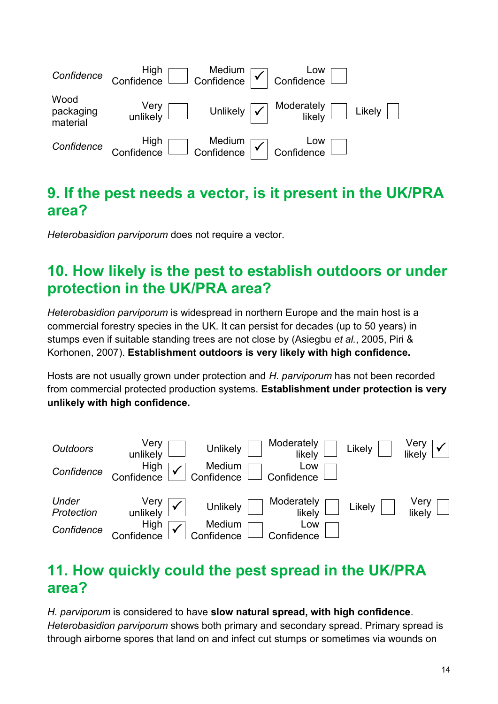

## **9. If the pest needs a vector, is it present in the UK/PRA area?**

*Heterobasidion parviporum* does not require a vector.

# **10. How likely is the pest to establish outdoors or under protection in the UK/PRA area?**

*Heterobasidion parviporum* is widespread in northern Europe and the main host is a commercial forestry species in the UK. It can persist for decades (up to 50 years) in stumps even if suitable standing trees are not close by [\(Asiegbu](#page-19-0) *et al.*, 2005, [Piri &](#page-21-8)  [Korhonen, 2007\)](#page-21-8). **Establishment outdoors is very likely with high confidence.**

Hosts are not usually grown under protection and *H. parviporum* has not been recorded from commercial protected production systems. **Establishment under protection is very unlikely with high confidence.** 



# **11. How quickly could the pest spread in the UK/PRA area?**

*H. parviporum* is considered to have **slow natural spread, with high confidence**. *Heterobasidion parviporum* shows both primary and secondary spread. Primary spread is through airborne spores that land on and infect cut stumps or sometimes via wounds on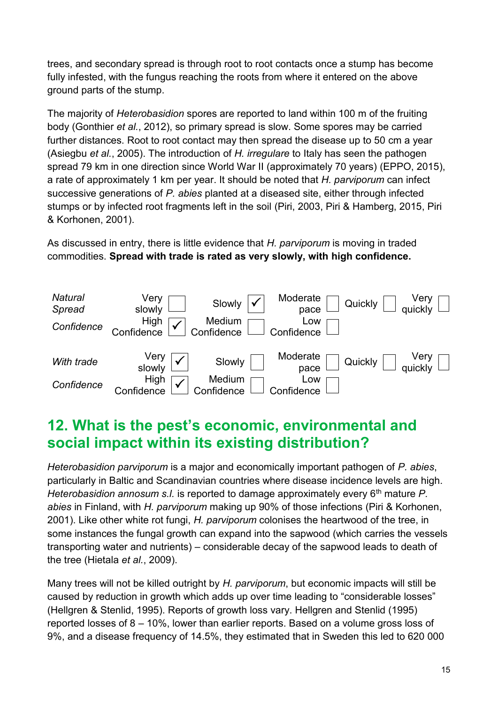trees, and secondary spread is through root to root contacts once a stump has become fully infested, with the fungus reaching the roots from where it entered on the above ground parts of the stump.

The majority of *Heterobasidion* spores are reported to land within 100 m of the fruiting body [\(Gonthier](#page-20-7) *et al.*, 2012), so primary spread is slow. Some spores may be carried further distances. Root to root contact may then spread the disease up to 50 cm a year [\(Asiegbu](#page-19-0) *et al.*, 2005). The introduction of *H. irregulare* to Italy has seen the pathogen spread 79 km in one direction since World War II (approximately 70 years) [\(EPPO, 2015\)](#page-20-4), a rate of approximately 1 km per year. It should be noted that *H. parviporum* can infect successive generations of *P. abies* planted at a diseased site, either through infected stumps or by infected root fragments left in the soil [\(Piri, 2003,](#page-21-3) [Piri & Hamberg, 2015,](#page-21-5) [Piri](#page-21-9)  [& Korhonen, 2001\)](#page-21-9).

As discussed in entry, there is little evidence that *H. parviporum* is moving in traded commodities. **Spread with trade is rated as very slowly, with high confidence.**



# **12. What is the pest's economic, environmental and social impact within its existing distribution?**

*Heterobasidion parviporum* is a major and economically important pathogen of *P. abies*, particularly in Baltic and Scandinavian countries where disease incidence levels are high. *Heterobasidion annosum s.l.* is reported to damage approximately every 6<sup>th</sup> mature *P. abies* in Finland, with *H. parviporum* making up 90% of those infections [\(Piri & Korhonen,](#page-21-9)  [2001\)](#page-21-9). Like other white rot fungi, *H. parviporum* colonises the heartwood of the tree, in some instances the fungal growth can expand into the sapwood (which carries the vessels transporting water and nutrients) – considerable decay of the sapwood leads to death of the tree [\(Hietala](#page-21-10) *et al.*, 2009).

Many trees will not be killed outright by *H. parviporum*, but economic impacts will still be caused by reduction in growth which adds up over time leading to "considerable losses" [\(Hellgren & Stenlid, 1995\)](#page-20-8). Reports of growth loss vary. Hellgren and Stenlid (1995) reported losses of 8 – 10%, lower than earlier reports. Based on a volume gross loss of 9%, and a disease frequency of 14.5%, they estimated that in Sweden this led to 620 000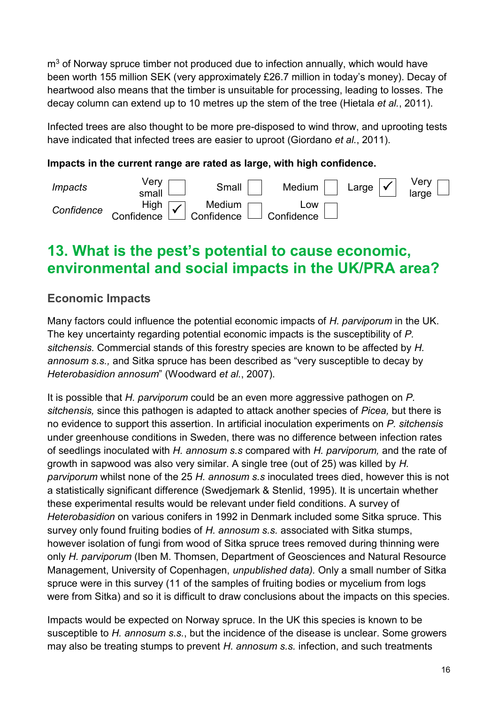$m<sup>3</sup>$  of Norway spruce timber not produced due to infection annually, which would have been worth 155 million SEK (very approximately £26.7 million in today's money). Decay of heartwood also means that the timber is unsuitable for processing, leading to losses. The decay column can extend up to 10 metres up the stem of the tree [\(Hietala](#page-21-11) *et al.*, 2011).

Infected trees are also thought to be more pre-disposed to wind throw, and uprooting tests have indicated that infected trees are easier to uproot [\(Giordano](#page-20-9) *et al.*, 2011).

#### **Impacts in the current range are rated as large, with high confidence.**



## **13. What is the pest's potential to cause economic, environmental and social impacts in the UK/PRA area?**

## **Economic Impacts**

Many factors could influence the potential economic impacts of *H. parviporum* in the UK. The key uncertainty regarding potential economic impacts is the susceptibility of *P. sitchensis.* Commercial stands of this forestry species are known to be affected by *H. annosum s.s.,* and Sitka spruce has been described as "very susceptible to decay by *Heterobasidion annosum*" [\(Woodward](#page-22-3) *et al.*, 2007).

It is possible that *H. parviporum* could be an even more aggressive pathogen on *P. sitchensis,* since this pathogen is adapted to attack another species of *Picea,* but there is no evidence to support this assertion. In artificial inoculation experiments on *P. sitchensis* under greenhouse conditions in Sweden, there was no difference between infection rates of seedlings inoculated with *H. annosum s.s* compared with *H. parviporum,* and the rate of growth in sapwood was also very similar. A single tree (out of 25) was killed by *H. parviporum* whilst none of the 25 *H. annosum s.s* inoculated trees died, however this is not a statistically significant difference [\(Swedjemark & Stenlid, 1995\)](#page-21-12). It is uncertain whether these experimental results would be relevant under field conditions. A survey of *Heterobasidion* on various conifers in 1992 in Denmark included some Sitka spruce. This survey only found fruiting bodies of *H. annosum s.s.* associated with Sitka stumps, however isolation of fungi from wood of Sitka spruce trees removed during thinning were only *H. parviporum* (Iben M. Thomsen, Department of Geosciences and Natural Resource Management, University of Copenhagen, *unpublished data).* Only a small number of Sitka spruce were in this survey (11 of the samples of fruiting bodies or mycelium from logs were from Sitka) and so it is difficult to draw conclusions about the impacts on this species.

Impacts would be expected on Norway spruce. In the UK this species is known to be susceptible to *H. annosum s.s.*, but the incidence of the disease is unclear. Some growers may also be treating stumps to prevent *H. annosum s.s.* infection, and such treatments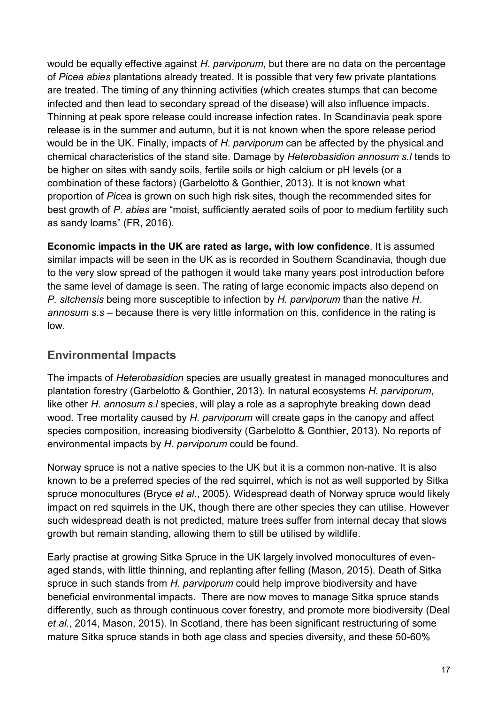would be equally effective against *H. parviporum*, but there are no data on the percentage of *Picea abies* plantations already treated. It is possible that very few private plantations are treated. The timing of any thinning activities (which creates stumps that can become infected and then lead to secondary spread of the disease) will also influence impacts. Thinning at peak spore release could increase infection rates. In Scandinavia peak spore release is in the summer and autumn, but it is not known when the spore release period would be in the UK. Finally, impacts of *H. parviporum* can be affected by the physical and chemical characteristics of the stand site. Damage by *Heterobasidion annosum s.l* tends to be higher on sites with sandy soils, fertile soils or high calcium or pH levels (or a combination of these factors) [\(Garbelotto & Gonthier, 2013\)](#page-20-10). It is not known what proportion of *Picea* is grown on such high risk sites, though the recommended sites for best growth of *P. abies* are "moist, sufficiently aerated soils of poor to medium fertility such as sandy loams" [\(FR, 2016\)](#page-20-11).

**Economic impacts in the UK are rated as large, with low confidence**. It is assumed similar impacts will be seen in the UK as is recorded in Southern Scandinavia, though due to the very slow spread of the pathogen it would take many years post introduction before the same level of damage is seen. The rating of large economic impacts also depend on *P. sitchensis* being more susceptible to infection by *H. parviporum* than the native *H. annosum s.s* – because there is very little information on this, confidence in the rating is low.

## **Environmental Impacts**

The impacts of *Heterobasidion* species are usually greatest in managed monocultures and plantation forestry [\(Garbelotto & Gonthier, 2013\)](#page-20-10). In natural ecosystems *H. parviporum*, like other *H. annosum s.l* species, will play a role as a saprophyte breaking down dead wood. Tree mortality caused by *H. parviporum* will create gaps in the canopy and affect species composition, increasing biodiversity [\(Garbelotto & Gonthier, 2013\)](#page-20-10). No reports of environmental impacts by *H. parviporum* could be found.

Norway spruce is not a native species to the UK but it is a common non-native. It is also known to be a preferred species of the red squirrel, which is not as well supported by Sitka spruce monocultures (Bryce *et al.*[, 2005\)](#page-20-12). Widespread death of Norway spruce would likely impact on red squirrels in the UK, though there are other species they can utilise. However such widespread death is not predicted, mature trees suffer from internal decay that slows growth but remain standing, allowing them to still be utilised by wildlife.

Early practise at growing Sitka Spruce in the UK largely involved monocultures of evenaged stands, with little thinning, and replanting after felling [\(Mason, 2015\)](#page-21-13). Death of Sitka spruce in such stands from *H. parviporum* could help improve biodiversity and have beneficial environmental impacts. There are now moves to manage Sitka spruce stands differently, such as through continuous cover forestry, and promote more biodiversity [\(Deal](#page-20-13) *et al.*[, 2014,](#page-20-13) [Mason, 2015\)](#page-21-13). In Scotland, there has been significant restructuring of some mature Sitka spruce stands in both age class and species diversity, and these 50-60%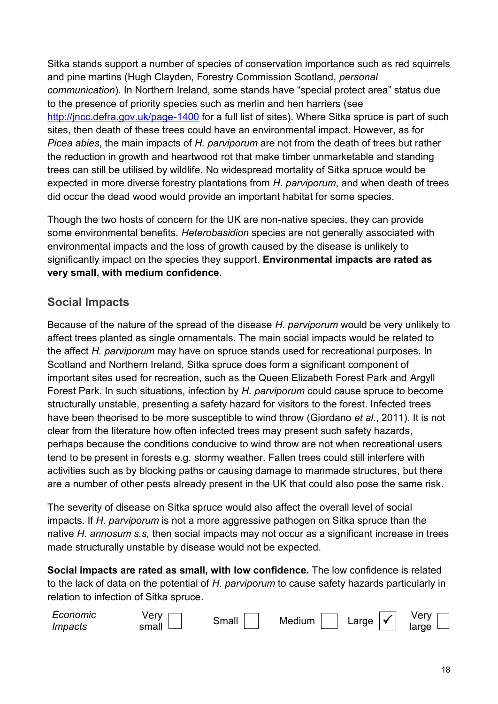Sitka stands support a number of species of conservation importance such as red squirrels and pine martins (Hugh Clayden, Forestry Commission Scotland, *personal communication*). In Northern Ireland, some stands have "special protect area" status due to the presence of priority species such as merlin and hen harriers (see <http://jncc.defra.gov.uk/page-1400> for a full list of sites). Where Sitka spruce is part of such sites, then death of these trees could have an environmental impact. However, as for *Picea abies*, the main impacts of *H. parviporum* are not from the death of trees but rather the reduction in growth and heartwood rot that make timber unmarketable and standing trees can still be utilised by wildlife. No widespread mortality of Sitka spruce would be expected in more diverse forestry plantations from *H. parviporum*, and when death of trees did occur the dead wood would provide an important habitat for some species.

Though the two hosts of concern for the UK are non-native species, they can provide some environmental benefits. *Heterobasidion* species are not generally associated with environmental impacts and the loss of growth caused by the disease is unlikely to significantly impact on the species they support. **Environmental impacts are rated as very small, with medium confidence.** 

### **Social Impacts**

Because of the nature of the spread of the disease *H. parviporum* would be very unlikely to affect trees planted as single ornamentals. The main social impacts would be related to the affect *H. parviporum* may have on spruce stands used for recreational purposes. In Scotland and Northern Ireland, Sitka spruce does form a significant component of important sites used for recreation, such as the Queen Elizabeth Forest Park and Argyll Forest Park. In such situations, infection by *H. parviporum* could cause spruce to become structurally unstable, presenting a safety hazard for visitors to the forest. Infected trees have been theorised to be more susceptible to wind throw [\(Giordano](#page-20-9) *et al.*, 2011). It is not clear from the literature how often infected trees may present such safety hazards, perhaps because the conditions conducive to wind throw are not when recreational users tend to be present in forests e.g. stormy weather. Fallen trees could still interfere with activities such as by blocking paths or causing damage to manmade structures, but there are a number of other pests already present in the UK that could also pose the same risk.

The severity of disease on Sitka spruce would also affect the overall level of social impacts. If *H. parviporum* is not a more aggressive pathogen on Sitka spruce than the native *H. annosum s.s,* then social impacts may not occur as a significant increase in trees made structurally unstable by disease would not be expected.

**Social impacts are rated as small, with low confidence.** The low confidence is related to the lack of data on the potential of *H. parviporum* to cause safety hazards particularly in relation to infection of Sitka spruce.

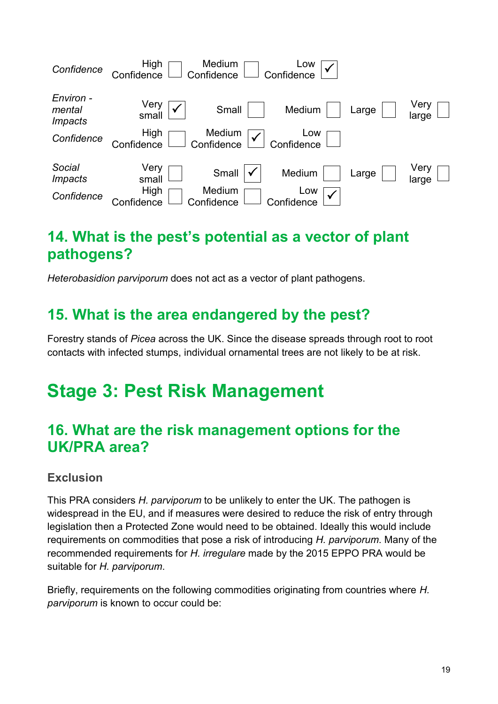

# **14. What is the pest's potential as a vector of plant pathogens?**

*Heterobasidion parviporum* does not act as a vector of plant pathogens.

## **15. What is the area endangered by the pest?**

Forestry stands of *Picea* across the UK. Since the disease spreads through root to root contacts with infected stumps, individual ornamental trees are not likely to be at risk.

# **Stage 3: Pest Risk Management**

# **16. What are the risk management options for the UK/PRA area?**

#### **Exclusion**

This PRA considers *H. parviporum* to be unlikely to enter the UK. The pathogen is widespread in the EU, and if measures were desired to reduce the risk of entry through legislation then a Protected Zone would need to be obtained. Ideally this would include requirements on commodities that pose a risk of introducing *H. parviporum*. Many of the recommended requirements for *H. irregulare* made by the 2015 EPPO PRA would be suitable for *H. parviporum*.

Briefly, requirements on the following commodities originating from countries where *H. parviporum* is known to occur could be: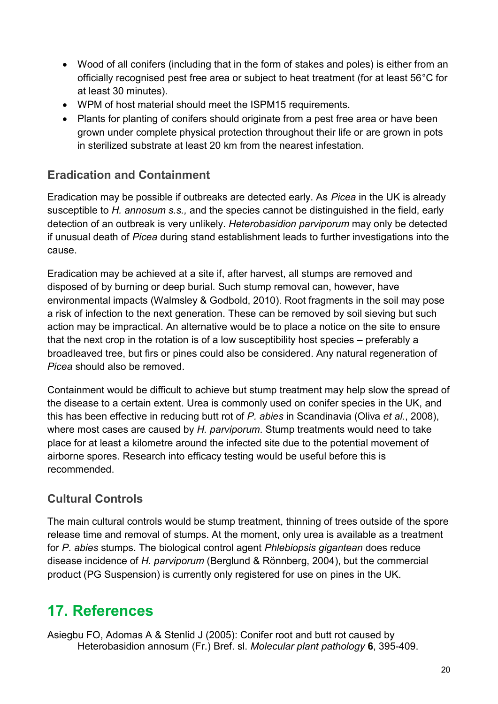- Wood of all conifers (including that in the form of stakes and poles) is either from an officially recognised pest free area or subject to heat treatment (for at least 56°C for at least 30 minutes).
- WPM of host material should meet the ISPM15 requirements.
- Plants for planting of conifers should originate from a pest free area or have been grown under complete physical protection throughout their life or are grown in pots in sterilized substrate at least 20 km from the nearest infestation.

## **Eradication and Containment**

Eradication may be possible if outbreaks are detected early. As *Picea* in the UK is already susceptible to *H. annosum s.s.,* and the species cannot be distinguished in the field, early detection of an outbreak is very unlikely. *Heterobasidion parviporum* may only be detected if unusual death of *Picea* during stand establishment leads to further investigations into the cause.

Eradication may be achieved at a site if, after harvest, all stumps are removed and disposed of by burning or deep burial. Such stump removal can, however, have environmental impacts [\(Walmsley & Godbold, 2010\)](#page-22-4). Root fragments in the soil may pose a risk of infection to the next generation. These can be removed by soil sieving but such action may be impractical. An alternative would be to place a notice on the site to ensure that the next crop in the rotation is of a low susceptibility host species – preferably a broadleaved tree, but firs or pines could also be considered. Any natural regeneration of *Picea* should also be removed.

Containment would be difficult to achieve but stump treatment may help slow the spread of the disease to a certain extent. Urea is commonly used on conifer species in the UK, and this has been effective in reducing butt rot of *P. abies* in Scandinavia (Oliva *et al.*[, 2008\)](#page-21-14), where most cases are caused by *H. parviporum*. Stump treatments would need to take place for at least a kilometre around the infected site due to the potential movement of airborne spores. Research into efficacy testing would be useful before this is recommended.

## **Cultural Controls**

The main cultural controls would be stump treatment, thinning of trees outside of the spore release time and removal of stumps. At the moment, only urea is available as a treatment for *P. abies* stumps. The biological control agent *Phlebiopsis gigantean* does reduce disease incidence of *H. parviporum* [\(Berglund & Rönnberg, 2004\)](#page-20-14), but the commercial product (PG Suspension) is currently only registered for use on pines in the UK.

# **17. References**

<span id="page-19-0"></span>Asiegbu FO, Adomas A & Stenlid J (2005): Conifer root and butt rot caused by Heterobasidion annosum (Fr.) Bref. sl. *Molecular plant pathology* **6**, 395-409.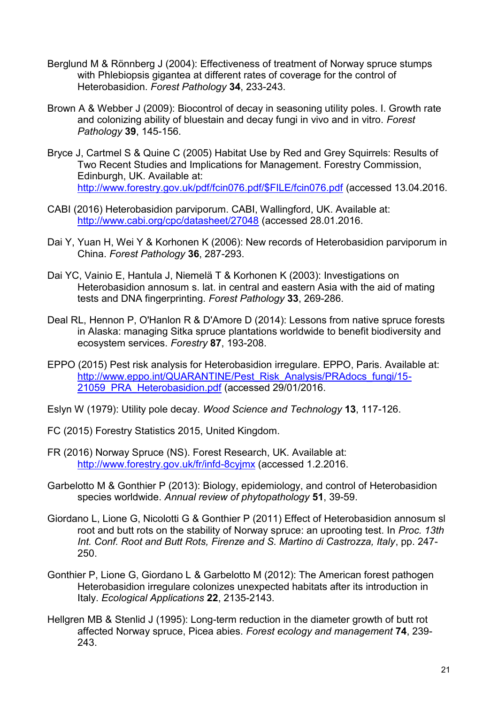- <span id="page-20-14"></span>Berglund M & Rönnberg J (2004): Effectiveness of treatment of Norway spruce stumps with Phlebiopsis gigantea at different rates of coverage for the control of Heterobasidion. *Forest Pathology* **34**, 233-243.
- <span id="page-20-5"></span>Brown A & Webber J (2009): Biocontrol of decay in seasoning utility poles. I. Growth rate and colonizing ability of bluestain and decay fungi in vivo and in vitro. *Forest Pathology* **39**, 145-156.
- <span id="page-20-12"></span>Bryce J, Cartmel S & Quine C (2005) Habitat Use by Red and Grey Squirrels: Results of Two Recent Studies and Implications for Management. Forestry Commission, Edinburgh, UK. Available at: [http://www.forestry.gov.uk/pdf/fcin076.pdf/\\$FILE/fcin076.pdf](http://www.forestry.gov.uk/pdf/fcin076.pdf/$FILE/fcin076.pdf) (accessed 13.04.2016.
- <span id="page-20-2"></span>CABI (2016) Heterobasidion parviporum. CABI, Wallingford, UK. Available at: <http://www.cabi.org/cpc/datasheet/27048> (accessed 28.01.2016.
- <span id="page-20-0"></span>Dai Y, Yuan H, Wei Y & Korhonen K (2006): New records of Heterobasidion parviporum in China. *Forest Pathology* **36**, 287-293.
- <span id="page-20-1"></span>Dai YC, Vainio E, Hantula J, Niemelä T & Korhonen K (2003): Investigations on Heterobasidion annosum s. lat. in central and eastern Asia with the aid of mating tests and DNA fingerprinting. *Forest Pathology* **33**, 269-286.
- <span id="page-20-13"></span>Deal RL, Hennon P, O'Hanlon R & D'Amore D (2014): Lessons from native spruce forests in Alaska: managing Sitka spruce plantations worldwide to benefit biodiversity and ecosystem services. *Forestry* **87**, 193-208.
- <span id="page-20-4"></span>EPPO (2015) Pest risk analysis for Heterobasidion irregulare. EPPO, Paris. Available at: [http://www.eppo.int/QUARANTINE/Pest\\_Risk\\_Analysis/PRAdocs\\_fungi/15-](http://www.eppo.int/QUARANTINE/Pest_Risk_Analysis/PRAdocs_fungi/15-21059_PRA_Heterobasidion.pdf) 21059 PRA Heterobasidion.pdf (accessed 29/01/2016.
- <span id="page-20-6"></span>Eslyn W (1979): Utility pole decay. *Wood Science and Technology* **13**, 117-126.
- <span id="page-20-3"></span>FC (2015) Forestry Statistics 2015, United Kingdom.
- <span id="page-20-11"></span>FR (2016) Norway Spruce (NS). Forest Research, UK. Available at: <http://www.forestry.gov.uk/fr/infd-8cyjmx> (accessed 1.2.2016.
- <span id="page-20-10"></span>Garbelotto M & Gonthier P (2013): Biology, epidemiology, and control of Heterobasidion species worldwide. *Annual review of phytopathology* **51**, 39-59.
- <span id="page-20-9"></span>Giordano L, Lione G, Nicolotti G & Gonthier P (2011) Effect of Heterobasidion annosum sl root and butt rots on the stability of Norway spruce: an uprooting test. In *Proc. 13th Int. Conf. Root and Butt Rots, Firenze and S. Martino di Castrozza, Italy*, pp. 247- 250.
- <span id="page-20-7"></span>Gonthier P, Lione G, Giordano L & Garbelotto M (2012): The American forest pathogen Heterobasidion irregulare colonizes unexpected habitats after its introduction in Italy. *Ecological Applications* **22**, 2135-2143.
- <span id="page-20-8"></span>Hellgren MB & Stenlid J (1995): Long-term reduction in the diameter growth of butt rot affected Norway spruce, Picea abies. *Forest ecology and management* **74**, 239- 243.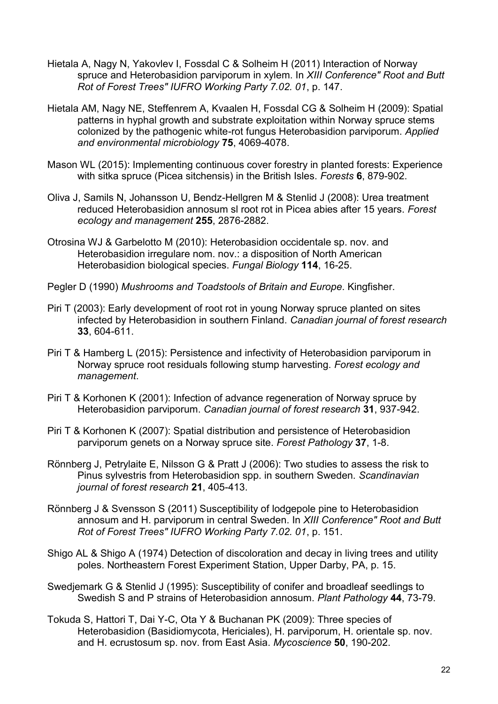- <span id="page-21-11"></span>Hietala A, Nagy N, Yakovlev I, Fossdal C & Solheim H (2011) Interaction of Norway spruce and Heterobasidion parviporum in xylem. In *XIII Conference" Root and Butt Rot of Forest Trees" IUFRO Working Party 7.02. 01*, p. 147.
- <span id="page-21-10"></span>Hietala AM, Nagy NE, Steffenrem A, Kvaalen H, Fossdal CG & Solheim H (2009): Spatial patterns in hyphal growth and substrate exploitation within Norway spruce stems colonized by the pathogenic white-rot fungus Heterobasidion parviporum. *Applied and environmental microbiology* **75**, 4069-4078.
- <span id="page-21-13"></span>Mason WL (2015): Implementing continuous cover forestry in planted forests: Experience with sitka spruce (Picea sitchensis) in the British Isles. *Forests* **6**, 879-902.
- <span id="page-21-14"></span>Oliva J, Samils N, Johansson U, Bendz-Hellgren M & Stenlid J (2008): Urea treatment reduced Heterobasidion annosum sl root rot in Picea abies after 15 years. *Forest ecology and management* **255**, 2876-2882.
- <span id="page-21-0"></span>Otrosina WJ & Garbelotto M (2010): Heterobasidion occidentale sp. nov. and Heterobasidion irregulare nom. nov.: a disposition of North American Heterobasidion biological species. *Fungal Biology* **114**, 16-25.
- <span id="page-21-7"></span>Pegler D (1990) *Mushrooms and Toadstools of Britain and Europe*. Kingfisher.
- <span id="page-21-3"></span>Piri T (2003): Early development of root rot in young Norway spruce planted on sites infected by Heterobasidion in southern Finland. *Canadian journal of forest research* **33**, 604-611.
- <span id="page-21-5"></span>Piri T & Hamberg L (2015): Persistence and infectivity of Heterobasidion parviporum in Norway spruce root residuals following stump harvesting. *Forest ecology and management*.
- <span id="page-21-9"></span>Piri T & Korhonen K (2001): Infection of advance regeneration of Norway spruce by Heterobasidion parviporum. *Canadian journal of forest research* **31**, 937-942.
- <span id="page-21-8"></span>Piri T & Korhonen K (2007): Spatial distribution and persistence of Heterobasidion parviporum genets on a Norway spruce site. *Forest Pathology* **37**, 1-8.
- <span id="page-21-2"></span>Rönnberg J, Petrylaite E, Nilsson G & Pratt J (2006): Two studies to assess the risk to Pinus sylvestris from Heterobasidion spp. in southern Sweden. *Scandinavian journal of forest research* **21**, 405-413.
- <span id="page-21-4"></span>Rönnberg J & Svensson S (2011) Susceptibility of lodgepole pine to Heterobasidion annosum and H. parviporum in central Sweden. In *XIII Conference" Root and Butt Rot of Forest Trees" IUFRO Working Party 7.02. 01*, p. 151.
- <span id="page-21-6"></span>Shigo AL & Shigo A (1974) Detection of discoloration and decay in living trees and utility poles. Northeastern Forest Experiment Station, Upper Darby, PA, p. 15.
- <span id="page-21-12"></span>Swedjemark G & Stenlid J (1995): Susceptibility of conifer and broadleaf seedlings to Swedish S and P strains of Heterobasidion annosum. *Plant Pathology* **44**, 73-79.
- <span id="page-21-1"></span>Tokuda S, Hattori T, Dai Y-C, Ota Y & Buchanan PK (2009): Three species of Heterobasidion (Basidiomycota, Hericiales), H. parviporum, H. orientale sp. nov. and H. ecrustosum sp. nov. from East Asia. *Mycoscience* **50**, 190-202.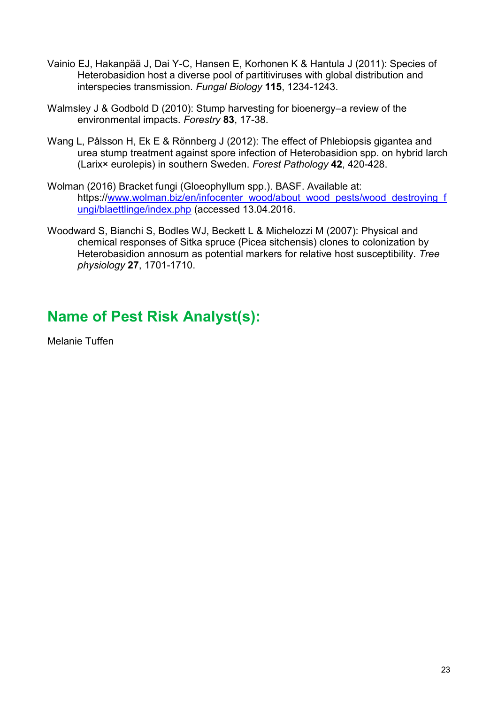- <span id="page-22-0"></span>Vainio EJ, Hakanpää J, Dai Y-C, Hansen E, Korhonen K & Hantula J (2011): Species of Heterobasidion host a diverse pool of partitiviruses with global distribution and interspecies transmission. *Fungal Biology* **115**, 1234-1243.
- <span id="page-22-4"></span>Walmsley J & Godbold D (2010): Stump harvesting for bioenergy–a review of the environmental impacts. *Forestry* **83**, 17-38.
- <span id="page-22-1"></span>Wang L, Pålsson H, Ek E & Rönnberg J (2012): The effect of Phlebiopsis gigantea and urea stump treatment against spore infection of Heterobasidion spp. on hybrid larch (Larix× eurolepis) in southern Sweden. *Forest Pathology* **42**, 420-428.
- <span id="page-22-2"></span>Wolman (2016) Bracket fungi (Gloeophyllum spp.). BASF. Available at: https:/[/www.wolman.biz/en/infocenter\\_wood/about\\_wood\\_pests/wood\\_destroying\\_f](http://www.wolman.biz/en/infocenter_wood/about_wood_pests/wood_destroying_fungi/blaettlinge/index.php) [ungi/blaettlinge/index.php](http://www.wolman.biz/en/infocenter_wood/about_wood_pests/wood_destroying_fungi/blaettlinge/index.php) (accessed 13.04.2016.
- <span id="page-22-3"></span>Woodward S, Bianchi S, Bodles WJ, Beckett L & Michelozzi M (2007): Physical and chemical responses of Sitka spruce (Picea sitchensis) clones to colonization by Heterobasidion annosum as potential markers for relative host susceptibility. *Tree physiology* **27**, 1701-1710.

# **Name of Pest Risk Analyst(s):**

Melanie Tuffen